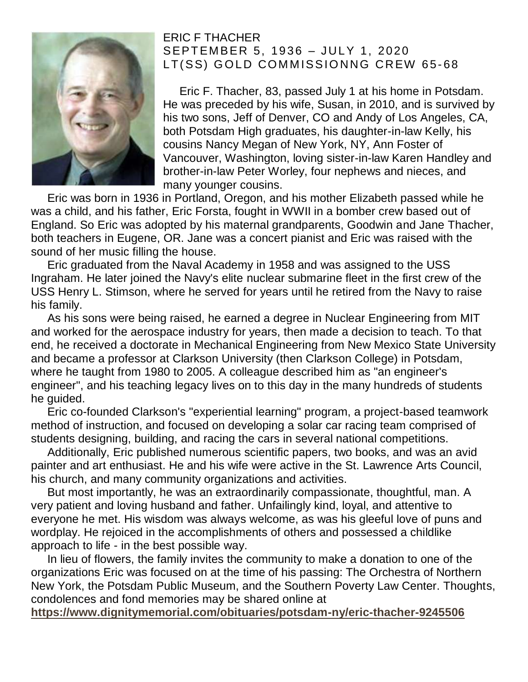

## ERIC F THACHER SEPTEMBER 5, 1936 - JULY 1, 2020 LT(SS) GOLD COMMISSIONNG CREW 65-68

 Eric F. Thacher, 83, passed July 1 at his home in Potsdam. He was preceded by his wife, Susan, in 2010, and is survived by his two sons, Jeff of Denver, CO and Andy of Los Angeles, CA, both Potsdam High graduates, his daughter-in-law Kelly, his cousins Nancy Megan of New York, NY, Ann Foster of Vancouver, Washington, loving sister-in-law Karen Handley and brother-in-law Peter Worley, four nephews and nieces, and many younger cousins.

 Eric was born in 1936 in Portland, Oregon, and his mother Elizabeth passed while he was a child, and his father, Eric Forsta, fought in WWII in a bomber crew based out of England. So Eric was adopted by his maternal grandparents, Goodwin and Jane Thacher, both teachers in Eugene, OR. Jane was a concert pianist and Eric was raised with the sound of her music filling the house.

 Eric graduated from the Naval Academy in 1958 and was assigned to the USS Ingraham. He later joined the Navy's elite nuclear submarine fleet in the first crew of the USS Henry L. Stimson, where he served for years until he retired from the Navy to raise his family.

 As his sons were being raised, he earned a degree in Nuclear Engineering from MIT and worked for the aerospace industry for years, then made a decision to teach. To that end, he received a doctorate in Mechanical Engineering from New Mexico State University and became a professor at Clarkson University (then Clarkson College) in Potsdam, where he taught from 1980 to 2005. A colleague described him as "an engineer's engineer", and his teaching legacy lives on to this day in the many hundreds of students he guided.

 Eric co-founded Clarkson's "experiential learning" program, a project-based teamwork method of instruction, and focused on developing a solar car racing team comprised of students designing, building, and racing the cars in several national competitions.

 Additionally, Eric published numerous scientific papers, two books, and was an avid painter and art enthusiast. He and his wife were active in the St. Lawrence Arts Council, his church, and many community organizations and activities.

 But most importantly, he was an extraordinarily compassionate, thoughtful, man. A very patient and loving husband and father. Unfailingly kind, loyal, and attentive to everyone he met. His wisdom was always welcome, as was his gleeful love of puns and wordplay. He rejoiced in the accomplishments of others and possessed a childlike approach to life - in the best possible way.

 In lieu of flowers, the family invites the community to make a donation to one of the organizations Eric was focused on at the time of his passing: The Orchestra of Northern New York, the Potsdam Public Museum, and the Southern Poverty Law Center. Thoughts, condolences and fond memories may be shared online at **<https://www.dignitymemorial.com/obituaries/potsdam-ny/eric-thacher-9245506>**